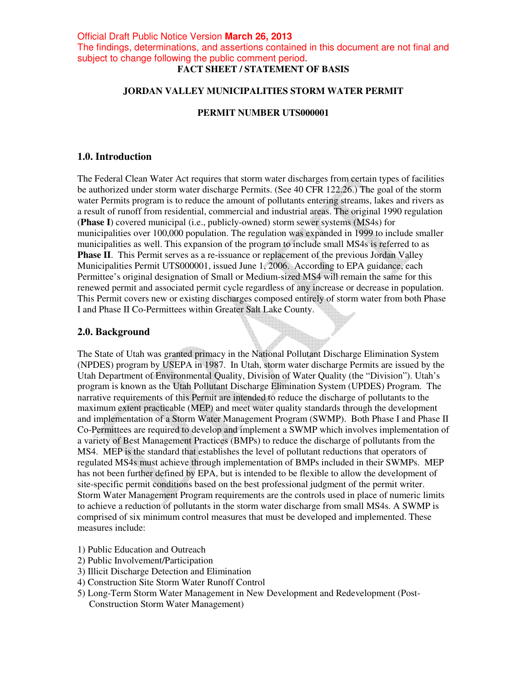# **FACT SHEET / STATEMENT OF BASIS**

#### **JORDAN VALLEY MUNICIPALITIES STORM WATER PERMIT**

### **PERMIT NUMBER UTS000001**

### **1.0. Introduction**

The Federal Clean Water Act requires that storm water discharges from certain types of facilities be authorized under storm water discharge Permits. (See 40 CFR 122.26.) The goal of the storm water Permits program is to reduce the amount of pollutants entering streams, lakes and rivers as a result of runoff from residential, commercial and industrial areas. The original 1990 regulation (**Phase I**) covered municipal (i.e., publicly-owned) storm sewer systems (MS4s) for municipalities over 100,000 population. The regulation was expanded in 1999 to include smaller municipalities as well. This expansion of the program to include small MS4s is referred to as **Phase II**. This Permit serves as a re-issuance or replacement of the previous Jordan Valley Municipalities Permit UTS000001, issued June 1, 2006. According to EPA guidance, each Permittee's original designation of Small or Medium-sized MS4 will remain the same for this renewed permit and associated permit cycle regardless of any increase or decrease in population. This Permit covers new or existing discharges composed entirely of storm water from both Phase I and Phase II Co-Permittees within Greater Salt Lake County.

### **2.0. Background**

The State of Utah was granted primacy in the National Pollutant Discharge Elimination System (NPDES) program by USEPA in 1987. In Utah, storm water discharge Permits are issued by the Utah Department of Environmental Quality, Division of Water Quality (the "Division"). Utah's program is known as the Utah Pollutant Discharge Elimination System (UPDES) Program. The narrative requirements of this Permit are intended to reduce the discharge of pollutants to the maximum extent practicable (MEP) and meet water quality standards through the development and implementation of a Storm Water Management Program (SWMP). Both Phase I and Phase II Co-Permittees are required to develop and implement a SWMP which involves implementation of a variety of Best Management Practices (BMPs) to reduce the discharge of pollutants from the MS4. MEP is the standard that establishes the level of pollutant reductions that operators of regulated MS4s must achieve through implementation of BMPs included in their SWMPs. MEP has not been further defined by EPA, but is intended to be flexible to allow the development of site-specific permit conditions based on the best professional judgment of the permit writer. Storm Water Management Program requirements are the controls used in place of numeric limits to achieve a reduction of pollutants in the storm water discharge from small MS4s. A SWMP is comprised of six minimum control measures that must be developed and implemented. These measures include:

- 1) Public Education and Outreach
- 2) Public Involvement/Participation
- 3) Illicit Discharge Detection and Elimination
- 4) Construction Site Storm Water Runoff Control
- 5) Long-Term Storm Water Management in New Development and Redevelopment (Post-Construction Storm Water Management)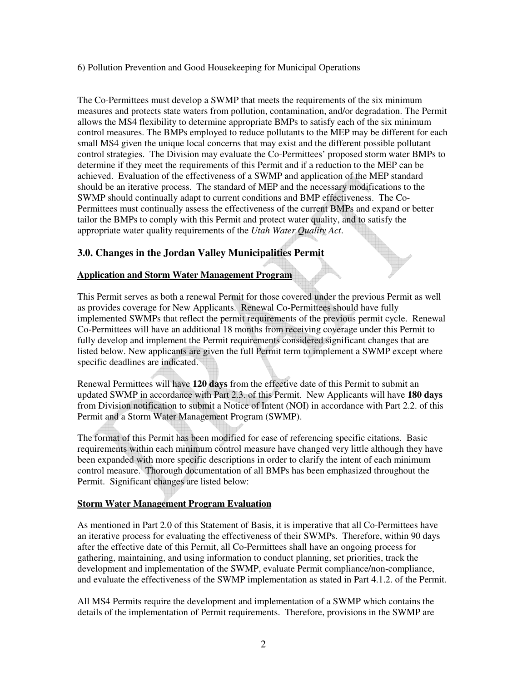### 6) Pollution Prevention and Good Housekeeping for Municipal Operations

The Co-Permittees must develop a SWMP that meets the requirements of the six minimum measures and protects state waters from pollution, contamination, and/or degradation. The Permit allows the MS4 flexibility to determine appropriate BMPs to satisfy each of the six minimum control measures. The BMPs employed to reduce pollutants to the MEP may be different for each small MS4 given the unique local concerns that may exist and the different possible pollutant control strategies. The Division may evaluate the Co-Permittees' proposed storm water BMPs to determine if they meet the requirements of this Permit and if a reduction to the MEP can be achieved. Evaluation of the effectiveness of a SWMP and application of the MEP standard should be an iterative process. The standard of MEP and the necessary modifications to the SWMP should continually adapt to current conditions and BMP effectiveness. The Co-Permittees must continually assess the effectiveness of the current BMPs and expand or better tailor the BMPs to comply with this Permit and protect water quality, and to satisfy the appropriate water quality requirements of the *Utah Water Quality Act*.

# **3.0. Changes in the Jordan Valley Municipalities Permit**

### **Application and Storm Water Management Program**

This Permit serves as both a renewal Permit for those covered under the previous Permit as well as provides coverage for New Applicants. Renewal Co-Permittees should have fully implemented SWMPs that reflect the permit requirements of the previous permit cycle. Renewal Co-Permittees will have an additional 18 months from receiving coverage under this Permit to fully develop and implement the Permit requirements considered significant changes that are listed below. New applicants are given the full Permit term to implement a SWMP except where specific deadlines are indicated.

Renewal Permittees will have **120 days** from the effective date of this Permit to submit an updated SWMP in accordance with Part 2.3. of this Permit. New Applicants will have **180 days** from Division notification to submit a Notice of Intent (NOI) in accordance with Part 2.2. of this Permit and a Storm Water Management Program (SWMP).

The format of this Permit has been modified for ease of referencing specific citations. Basic requirements within each minimum control measure have changed very little although they have been expanded with more specific descriptions in order to clarify the intent of each minimum control measure. Thorough documentation of all BMPs has been emphasized throughout the Permit. Significant changes are listed below:

### **Storm Water Management Program Evaluation**

As mentioned in Part 2.0 of this Statement of Basis, it is imperative that all Co-Permittees have an iterative process for evaluating the effectiveness of their SWMPs. Therefore, within 90 days after the effective date of this Permit, all Co-Permittees shall have an ongoing process for gathering, maintaining, and using information to conduct planning, set priorities, track the development and implementation of the SWMP, evaluate Permit compliance/non-compliance, and evaluate the effectiveness of the SWMP implementation as stated in Part 4.1.2. of the Permit.

All MS4 Permits require the development and implementation of a SWMP which contains the details of the implementation of Permit requirements. Therefore, provisions in the SWMP are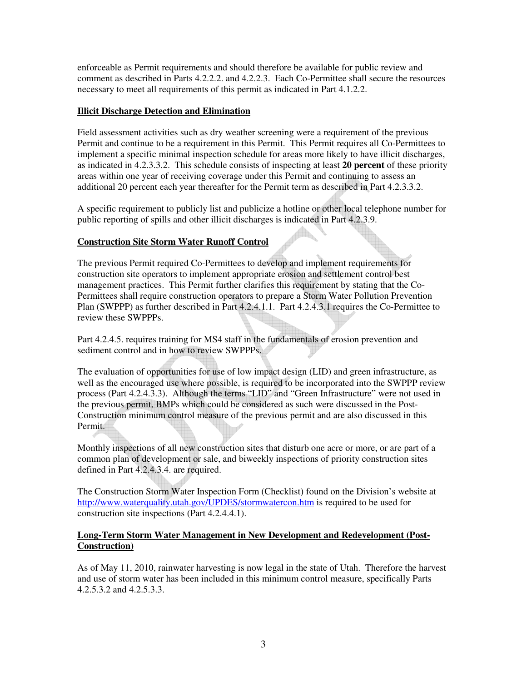enforceable as Permit requirements and should therefore be available for public review and comment as described in Parts 4.2.2.2. and 4.2.2.3. Each Co-Permittee shall secure the resources necessary to meet all requirements of this permit as indicated in Part 4.1.2.2.

## **Illicit Discharge Detection and Elimination**

Field assessment activities such as dry weather screening were a requirement of the previous Permit and continue to be a requirement in this Permit. This Permit requires all Co-Permittees to implement a specific minimal inspection schedule for areas more likely to have illicit discharges, as indicated in 4.2.3.3.2. This schedule consists of inspecting at least **20 percent** of these priority areas within one year of receiving coverage under this Permit and continuing to assess an additional 20 percent each year thereafter for the Permit term as described in Part 4.2.3.3.2.

A specific requirement to publicly list and publicize a hotline or other local telephone number for public reporting of spills and other illicit discharges is indicated in Part 4.2.3.9.

### **Construction Site Storm Water Runoff Control**

The previous Permit required Co-Permittees to develop and implement requirements for construction site operators to implement appropriate erosion and settlement control best management practices. This Permit further clarifies this requirement by stating that the Co-Permittees shall require construction operators to prepare a Storm Water Pollution Prevention Plan (SWPPP) as further described in Part 4.2.4.1.1. Part 4.2.4.3.1 requires the Co-Permittee to review these SWPPPs.

Part 4.2.4.5. requires training for MS4 staff in the fundamentals of erosion prevention and sediment control and in how to review SWPPPs.

The evaluation of opportunities for use of low impact design (LID) and green infrastructure, as well as the encouraged use where possible, is required to be incorporated into the SWPPP review process (Part 4.2.4.3.3). Although the terms "LID" and "Green Infrastructure" were not used in the previous permit, BMPs which could be considered as such were discussed in the Post-Construction minimum control measure of the previous permit and are also discussed in this Permit.

Monthly inspections of all new construction sites that disturb one acre or more, or are part of a common plan of development or sale, and biweekly inspections of priority construction sites defined in Part 4.2.4.3.4. are required.

The Construction Storm Water Inspection Form (Checklist) found on the Division's website at http://www.waterquality.utah.gov/UPDES/stormwatercon.htm is required to be used for construction site inspections (Part 4.2.4.4.1).

### **Long-Term Storm Water Management in New Development and Redevelopment (Post-Construction)**

As of May 11, 2010, rainwater harvesting is now legal in the state of Utah. Therefore the harvest and use of storm water has been included in this minimum control measure, specifically Parts 4.2.5.3.2 and 4.2.5.3.3.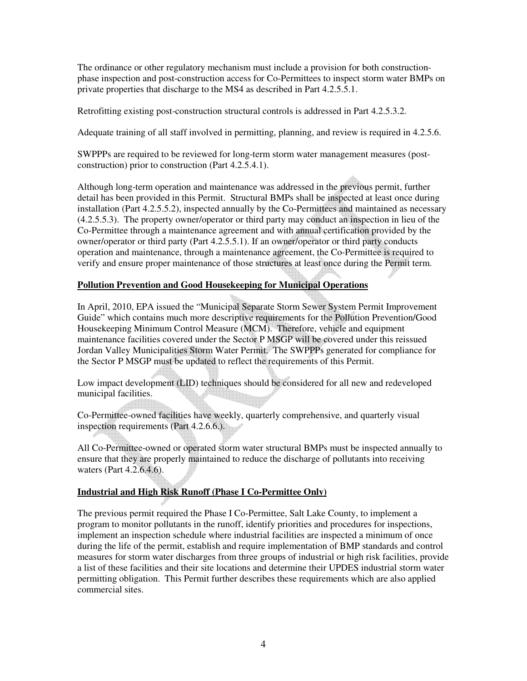The ordinance or other regulatory mechanism must include a provision for both constructionphase inspection and post-construction access for Co-Permittees to inspect storm water BMPs on private properties that discharge to the MS4 as described in Part 4.2.5.5.1.

Retrofitting existing post-construction structural controls is addressed in Part 4.2.5.3.2.

Adequate training of all staff involved in permitting, planning, and review is required in 4.2.5.6.

SWPPPs are required to be reviewed for long-term storm water management measures (postconstruction) prior to construction (Part 4.2.5.4.1).

Although long-term operation and maintenance was addressed in the previous permit, further detail has been provided in this Permit. Structural BMPs shall be inspected at least once during installation (Part 4.2.5.5.2), inspected annually by the Co-Permittees and maintained as necessary (4.2.5.5.3). The property owner/operator or third party may conduct an inspection in lieu of the Co-Permittee through a maintenance agreement and with annual certification provided by the owner/operator or third party (Part 4.2.5.5.1). If an owner/operator or third party conducts operation and maintenance, through a maintenance agreement, the Co-Permittee is required to verify and ensure proper maintenance of those structures at least once during the Permit term.

### **Pollution Prevention and Good Housekeeping for Municipal Operations**

In April, 2010, EPA issued the "Municipal Separate Storm Sewer System Permit Improvement Guide" which contains much more descriptive requirements for the Pollution Prevention/Good Housekeeping Minimum Control Measure (MCM). Therefore, vehicle and equipment maintenance facilities covered under the Sector P MSGP will be covered under this reissued Jordan Valley Municipalities Storm Water Permit. The SWPPPs generated for compliance for the Sector P MSGP must be updated to reflect the requirements of this Permit.

Low impact development (LID) techniques should be considered for all new and redeveloped municipal facilities.

Co-Permittee-owned facilities have weekly, quarterly comprehensive, and quarterly visual inspection requirements (Part 4.2.6.6.).

All Co-Permittee-owned or operated storm water structural BMPs must be inspected annually to ensure that they are properly maintained to reduce the discharge of pollutants into receiving waters (Part 4.2.6.4.6).

# **Industrial and High Risk Runoff (Phase I Co-Permittee Only)**

The previous permit required the Phase I Co-Permittee, Salt Lake County, to implement a program to monitor pollutants in the runoff, identify priorities and procedures for inspections, implement an inspection schedule where industrial facilities are inspected a minimum of once during the life of the permit, establish and require implementation of BMP standards and control measures for storm water discharges from three groups of industrial or high risk facilities, provide a list of these facilities and their site locations and determine their UPDES industrial storm water permitting obligation. This Permit further describes these requirements which are also applied commercial sites.